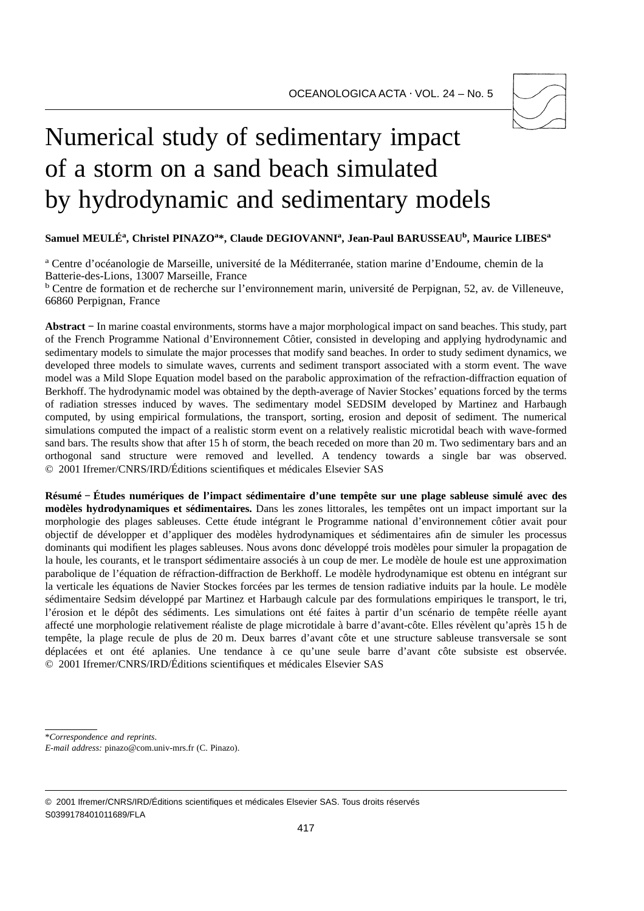

# Numerical study of sedimentary impact of a storm on a sand beach simulated by hydrodynamic and sedimentary models

## $\,$ Samuel MEULÉ $^{\rm a}$ , Christel PINAZO $^{\rm a*}$ , Claude DEGIOVANNI $^{\rm a}$ , Jean-Paul BARUSSEAU $^{\rm b}$ , Maurice LIBES $^{\rm a}$

<sup>a</sup> Centre d'océanologie de Marseille, université de la Méditerranée, station marine d'Endoume, chemin de la Batterie-des-Lions, 13007 Marseille, France

<sup>b</sup> Centre de formation et de recherche sur l'environnement marin, université de Perpignan, 52, av. de Villeneuve, 66860 Perpignan, France

**Abstract −** In marine coastal environments, storms have a major morphological impact on sand beaches. This study, part of the French Programme National d'Environnement Côtier, consisted in developing and applying hydrodynamic and sedimentary models to simulate the major processes that modify sand beaches. In order to study sediment dynamics, we developed three models to simulate waves, currents and sediment transport associated with a storm event. The wave model was a Mild Slope Equation model based on the parabolic approximation of the refraction-diffraction equation of Berkhoff. The hydrodynamic model was obtained by the depth-average of Navier Stockes' equations forced by the terms of radiation stresses induced by waves. The sedimentary model SEDSIM developed by Martinez and Harbaugh computed, by using empirical formulations, the transport, sorting, erosion and deposit of sediment. The numerical simulations computed the impact of a realistic storm event on a relatively realistic microtidal beach with wave-formed sand bars. The results show that after 15 h of storm, the beach receded on more than 20 m. Two sedimentary bars and an orthogonal sand structure were removed and levelled. A tendency towards a single bar was observed. © 2001 Ifremer/CNRS/IRD/Éditions scientifiques et médicales Elsevier SAS

**Résumé − Études numériques de l'impact sédimentaire d'une tempête sur une plage sableuse simulé avec des modèles hydrodynamiques et sédimentaires.** Dans les zones littorales, les tempêtes ont un impact important sur la morphologie des plages sableuses. Cette étude intégrant le Programme national d'environnement côtier avait pour objectif de développer et d'appliquer des modèles hydrodynamiques et sédimentaires afin de simuler les processus dominants qui modifient les plages sableuses. Nous avons donc développé trois modèles pour simuler la propagation de la houle, les courants, et le transport sédimentaire associés à un coup de mer. Le modèle de houle est une approximation parabolique de l'équation de réfraction-diffraction de Berkhoff. Le modèle hydrodynamique est obtenu en intégrant sur la verticale les équations de Navier Stockes forcées par les termes de tension radiative induits par la houle. Le modèle sédimentaire Sedsim développé par Martinez et Harbaugh calcule par des formulations empiriques le transport, le tri, l'érosion et le dépôt des sédiments. Les simulations ont été faites à partir d'un scénario de tempête réelle ayant affecté une morphologie relativement réaliste de plage microtidale à barre d'avant-côte. Elles révèlent qu'après 15 h de tempête, la plage recule de plus de 20 m. Deux barres d'avant côte et une structure sableuse transversale se sont déplacées et ont été aplanies. Une tendance à ce qu'une seule barre d'avant côte subsiste est observée. © 2001 Ifremer/CNRS/IRD/Éditions scientifiques et médicales Elsevier SAS

\**Correspondence and reprints*.

*E-mail address:* pinazo@com.univ-mrs.fr (C. Pinazo).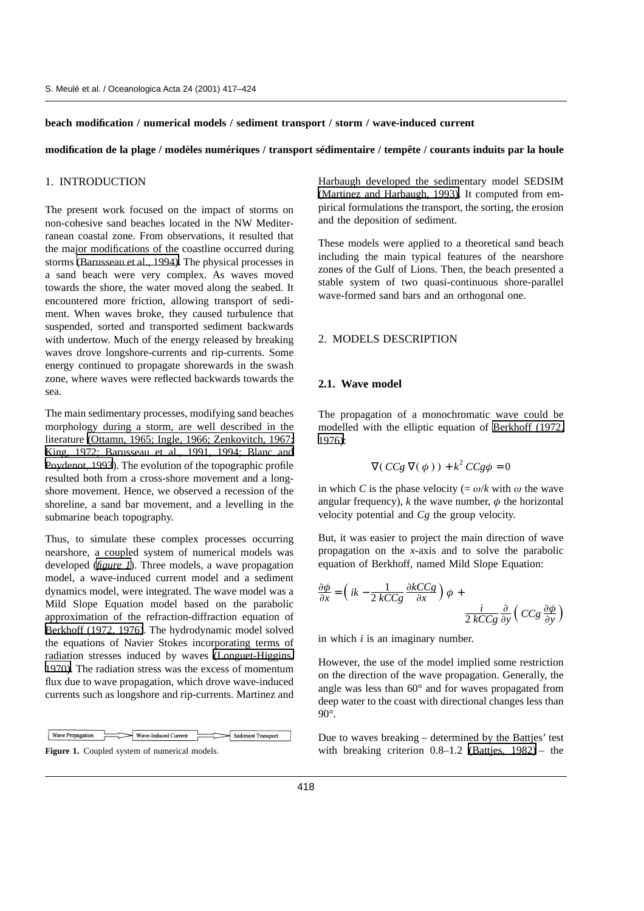## **beach modification / numerical models / sediment transport / storm / wave-induced current**

#### **modification de la plage / modèles numériques / transport sédimentaire / tempête / courants induits par la houle**

## 1. INTRODUCTION

The present work focused on the impact of storms on non-cohesive sand beaches located in the NW Mediterranean coastal zone. From observations, it resulted that the major modifications of the coastline occurred during storms [\(Barusseau et al., 1994\).](#page-6-0) The physical processes in a sand beach were very complex. As waves moved towards the shore, the water moved along the seabed. It encountered more friction, allowing transport of sediment. When waves broke, they caused turbulence that suspended, sorted and transported sediment backwards with undertow. Much of the energy released by breaking waves drove longshore-currents and rip-currents. Some energy continued to propagate shorewards in the swash zone, where waves were reflected backwards towards the sea.

The main sedimentary processes, modifying sand beaches morphology during a storm, are well described in the literature [\(Ottamn, 1965; Ingle, 1966; Zenkovitch, 1967;](#page-7-0) [King, 1972; Barusseau et al., 1991, 1994; Blanc and](#page-7-0) [Poydenot, 1993](#page-7-0)). The evolution of the topographic profile resulted both from a cross-shore movement and a longshore movement. Hence, we observed a recession of the shoreline, a sand bar movement, and a levelling in the submarine beach topography.

Thus, to simulate these complex processes occurring nearshore, a coupled system of numerical models was developed (*figure 1*). Three models, a wave propagation model, a wave-induced current model and a sediment dynamics model, were integrated. The wave model was a Mild Slope Equation model based on the parabolic approximation of the refraction-diffraction equation of [Berkhoff \(1972, 1976\)](#page-6-0). The hydrodynamic model solved the equations of Navier Stokes incorporating terms of radiation stresses induced by waves [\(Longuet-Higgins,](#page-7-0) [1970\)](#page-7-0). The radiation stress was the excess of momentum flux due to wave propagation, which drove wave-induced currents such as longshore and rip-currents. Martinez and





Harbaugh developed the sedimentary model SEDSIM [\(Martinez and Harbaugh, 1993\).](#page-7-0) It computed from empirical formulations the transport, the sorting, the erosion and the deposition of sediment.

These models were applied to a theoretical sand beach including the main typical features of the nearshore zones of the Gulf of Lions. Then, the beach presented a stable system of two quasi-continuous shore-parallel wave-formed sand bars and an orthogonal one.

## 2. MODELS DESCRIPTION

## **2.1. Wave model**

The propagation of a monochromatic wave could be modelled with the elliptic equation of [Berkhoff \(1972,](#page-6-0) [1976\)](#page-6-0):

$$
\nabla (CCg \nabla (\phi)) + k^2 CCg\phi = 0
$$

in which *C* is the phase velocity (=  $\omega/k$  with  $\omega$  the wave angular frequency),  $k$  the wave number,  $\phi$  the horizontal velocity potential and *Cg* the group velocity.

But, it was easier to project the main direction of wave propagation on the *x*-axis and to solve the parabolic equation of Berkhoff, named Mild Slope Equation:

$$
\frac{\partial \phi}{\partial x} = \left( ik - \frac{1}{2 kCCg} \frac{\partial kCCg}{\partial x} \right) \phi + \frac{i}{2 kCCg} \frac{\partial}{\partial y} \left( CCg \frac{\partial \phi}{\partial y} \right)
$$

in which *i* is an imaginary number.

However, the use of the model implied some restriction on the direction of the wave propagation. Generally, the angle was less than 60° and for waves propagated from deep water to the coast with directional changes less than 90°.

Due to waves breaking – determined by the Battjes' test **Figure 1.** Coupled system of numerical models. with breaking criterion 0.8–1.2 [\(Battjes, 1982\)](#page-6-0) – the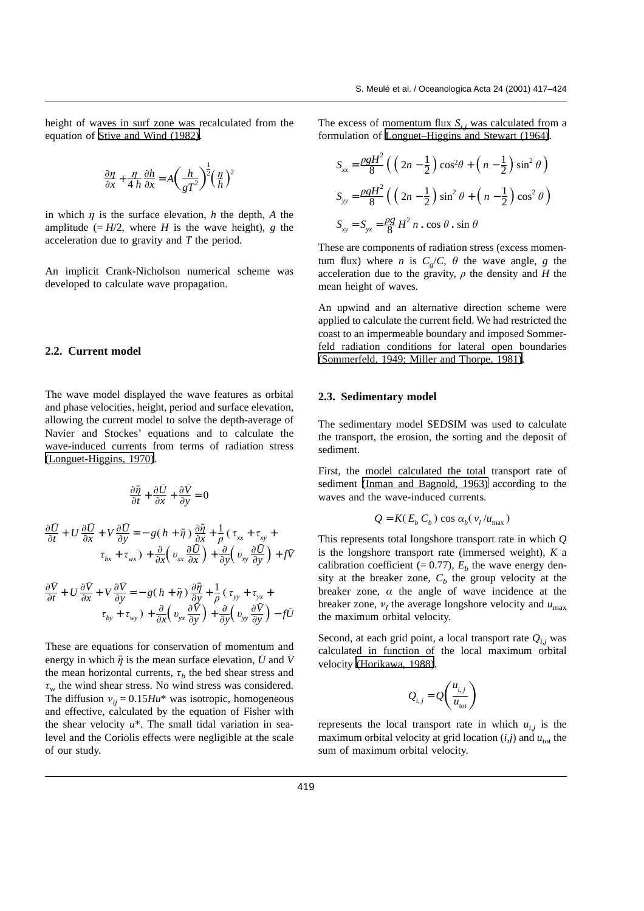height of waves in surf zone was recalculated from the equation of [Stive and Wind \(1982\)](#page-7-0).

$$
\frac{\partial \eta}{\partial x} + \frac{\eta}{4h} \frac{\partial h}{\partial x} = A \left( \frac{h}{gT^2} \right)^{\frac{1}{2}} \left( \frac{\eta}{h} \right)^2
$$

in which  $\eta$  is the surface elevation, *h* the depth, *A* the amplitude  $(= H/2$ , where *H* is the wave height), *g* the acceleration due to gravity and *T* the period.

An implicit Crank-Nicholson numerical scheme was developed to calculate wave propagation.

## **2.2. Current model**

The wave model displayed the wave features as orbital and phase velocities, height, period and surface elevation, allowing the current model to solve the depth-average of Navier and Stockes' equations and to calculate the wave-induced currents from terms of radiation stress [\(Longuet-Higgins, 1970\)](#page-7-0).

$$
\frac{\partial \bar{\eta}}{\partial t} + \frac{\partial \bar{U}}{\partial x} + \frac{\partial \bar{V}}{\partial y} = 0
$$

$$
\frac{\partial \bar{U}}{\partial t} + U \frac{\partial \bar{U}}{\partial x} + V \frac{\partial \bar{U}}{\partial y} = -g(h + \bar{\eta}) \frac{\partial \bar{\eta}}{\partial x} + \frac{1}{\rho} (\tau_{xx} + \tau_{xy} + \tau_{yx} + \tau_{yx} + \tau_{yx}) + \frac{\partial}{\partial x} \left( v_{xx} \frac{\partial \bar{U}}{\partial x} \right) + \frac{\partial}{\partial y} \left( v_{xy} \frac{\partial \bar{U}}{\partial y} \right) + f\bar{V}
$$

$$
\frac{\partial \bar{V}}{\partial t} + U \frac{\partial \bar{V}}{\partial x} + V \frac{\partial \bar{V}}{\partial y} = -g (h + \bar{\eta}) \frac{\partial \bar{\eta}}{\partial y} + \frac{1}{\rho} (\tau_{yy} + \tau_{yx} + \tau_{yy} + \tau_{yy} + \tau_{yy}) + \frac{\partial}{\partial x} \left( v_{yx} \frac{\partial \bar{V}}{\partial y} \right) + \frac{\partial}{\partial y} \left( v_{yy} \frac{\partial \bar{V}}{\partial y} \right) - f\bar{U}
$$

These are equations for conservation of momentum and energy in which  $\bar{\eta}$  is the mean surface elevation,  $\bar{U}$  and  $\bar{V}$ the mean horizontal currents,  $\tau_b$  the bed shear stress and  $\tau_w$  the wind shear stress. No wind stress was considered. The diffusion  $v_{ij} = 0.15Hu^*$  was isotropic, homogeneous and effective, calculated by the equation of Fisher with the shear velocity *u*\*. The small tidal variation in sealevel and the Coriolis effects were negligible at the scale of our study.

The excess of momentum flux  $S_{i,j}$  was calculated from a formulation of [Longuet–Higgins and Stewart \(1964\)](#page-7-0).

$$
S_{xx} = \frac{\rho g H^2}{8} \left( \left( 2n - \frac{1}{2} \right) \cos^2 \theta + \left( n - \frac{1}{2} \right) \sin^2 \theta \right)
$$
  

$$
S_{yy} = \frac{\rho g H^2}{8} \left( \left( 2n - \frac{1}{2} \right) \sin^2 \theta + \left( n - \frac{1}{2} \right) \cos^2 \theta \right)
$$
  

$$
S_{xy} = S_{yx} = \frac{\rho g}{8} H^2 n \cos \theta \cdot \sin \theta
$$

These are components of radiation stress (excess momentum flux) where *n* is  $C_g/C$ ,  $\theta$  the wave angle, *g* the acceleration due to the gravity,  $\rho$  the density and *H* the mean height of waves.

An upwind and an alternative direction scheme were applied to calculate the current field. We had restricted the coast to an impermeable boundary and imposed Sommerfeld radiation conditions for lateral open boundaries [\(Sommerfeld, 1949; Miller and Thorpe, 1981\)](#page-7-0).

## **2.3. Sedimentary model**

The sedimentary model SEDSIM was used to calculate the transport, the erosion, the sorting and the deposit of sediment.

First, the model calculated the total transport rate of sediment [\(Inman and Bagnold, 1963\)](#page-6-0) according to the waves and the wave-induced currents.

$$
Q = K(E_b C_b) \cos \alpha_b (v_l / u_{\text{max}})
$$

This represents total longshore transport rate in which *Q* is the longshore transport rate (immersed weight), *K* a calibration coefficient (=  $0.77$ ),  $E<sub>b</sub>$  the wave energy density at the breaker zone,  $C_b$  the group velocity at the breaker zone,  $\alpha$  the angle of wave incidence at the breaker zone,  $v_l$  the average longshore velocity and  $u_{\text{max}}$ the maximum orbital velocity.

Second, at each grid point, a local transport rate  $Q_{i,j}$  was calculated in function of the local maximum orbital velocity [\(Horikawa, 1988\)](#page-6-0).

$$
Q_{i,j} = Q\left(\frac{u_{i,j}}{u_{\text{tot}}}\right)
$$

represents the local transport rate in which  $u_{i,j}$  is the maximum orbital velocity at grid location  $(i,j)$  and  $u_{\text{tot}}$  the sum of maximum orbital velocity.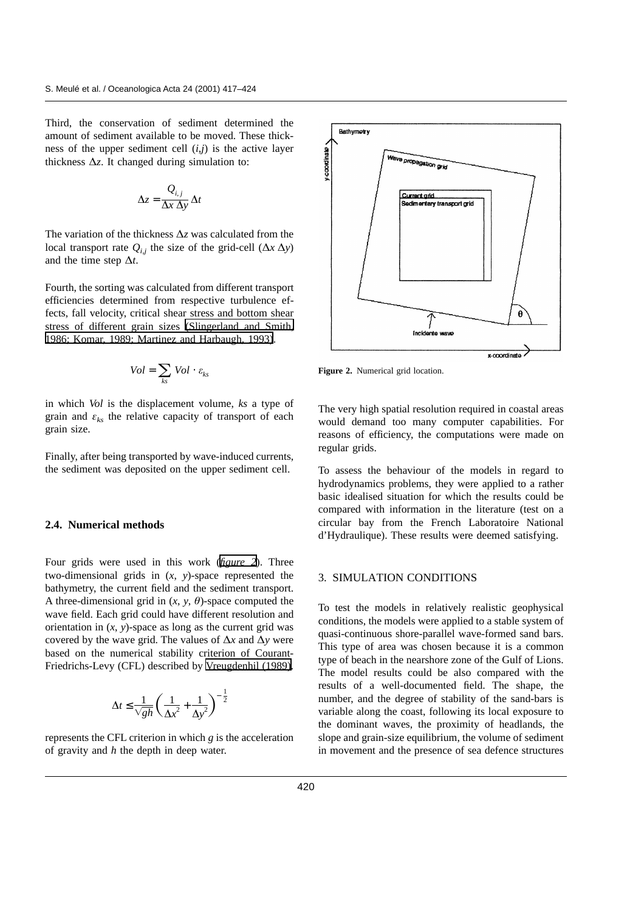Third, the conservation of sediment determined the amount of sediment available to be moved. These thickness of the upper sediment cell  $(i,j)$  is the active layer thickness  $\Delta z$ . It changed during simulation to:

$$
\Delta z = \frac{Q_{i,j}}{\Delta x \, \Delta y} \, \Delta t
$$

The variation of the thickness ∆*z* was calculated from the local transport rate  $Q_{i,j}$  the size of the grid-cell ( $\Delta x \Delta y$ ) and the time step ∆*t*.

Fourth, the sorting was calculated from different transport efficiencies determined from respective turbulence effects, fall velocity, critical shear stress and bottom shear stress of different grain sizes [\(Slingerland and Smith,](#page-7-0) [1986; Komar, 1989; Martinez and Harbaugh, 1993\)](#page-7-0).

$$
Vol = \sum_{ks} Vol \cdot \varepsilon_{ks}
$$

in which *Vol* is the displacement volume, *ks* a type of grain and  $\varepsilon_{ks}$  the relative capacity of transport of each grain size.

Finally, after being transported by wave-induced currents, the sediment was deposited on the upper sediment cell.

## **2.4. Numerical methods**

Four grids were used in this work (*figure 2*). Three two-dimensional grids in (*x*, *y*)-space represented the bathymetry, the current field and the sediment transport. A three-dimensional grid in  $(x, y, \theta)$ -space computed the wave field. Each grid could have different resolution and orientation in  $(x, y)$ -space as long as the current grid was covered by the wave grid. The values of ∆*x* and ∆*y* were based on the numerical stability criterion of Courant-Friedrichs-Levy (CFL) described by [Vreugdenhil \(1989\).](#page-7-0)

$$
\Delta t \le \frac{1}{\sqrt{gh}} \left( \frac{1}{\Delta x^2} + \frac{1}{\Delta y^2} \right)^{-\frac{1}{2}}
$$

represents the CFL criterion in which *g* is the acceleration of gravity and *h* the depth in deep water.



**Figure 2.** Numerical grid location.

The very high spatial resolution required in coastal areas would demand too many computer capabilities. For reasons of efficiency, the computations were made on regular grids.

To assess the behaviour of the models in regard to hydrodynamics problems, they were applied to a rather basic idealised situation for which the results could be compared with information in the literature (test on a circular bay from the French Laboratoire National d'Hydraulique). These results were deemed satisfying.

## 3. SIMULATION CONDITIONS

To test the models in relatively realistic geophysical conditions, the models were applied to a stable system of quasi-continuous shore-parallel wave-formed sand bars. This type of area was chosen because it is a common type of beach in the nearshore zone of the Gulf of Lions. The model results could be also compared with the results of a well-documented field. The shape, the number, and the degree of stability of the sand-bars is variable along the coast, following its local exposure to the dominant waves, the proximity of headlands, the slope and grain-size equilibrium, the volume of sediment in movement and the presence of sea defence structures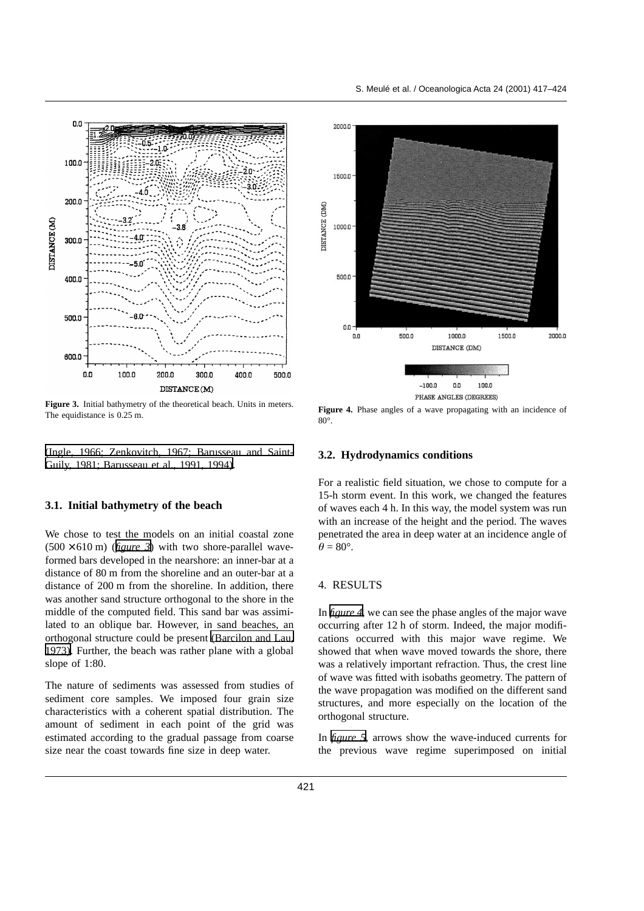



**Figure 3.** Initial bathymetry of the theoretical beach. Units in meters.

[\(Ingle, 1966; Zenkovitch, 1967; Barusseau and Saint-](#page-6-0)[Guily, 1981; Barusseau et al., 1991, 1994\)](#page-6-0).

## **3.1. Initial bathymetry of the beach**

We chose to test the models on an initial coastal zone  $(500 \times 610 \text{ m})$  (*figure 3*) with two shore-parallel waveformed bars developed in the nearshore: an inner-bar at a distance of 80 m from the shoreline and an outer-bar at a distance of 200 m from the shoreline. In addition, there was another sand structure orthogonal to the shore in the middle of the computed field. This sand bar was assimilated to an oblique bar. However, in sand beaches, an orthogonal structure could be present [\(Barcilon and Lau,](#page-6-0) [1973\)](#page-6-0). Further, the beach was rather plane with a global slope of 1:80.

The nature of sediments was assessed from studies of sediment core samples. We imposed four grain size characteristics with a coherent spatial distribution. The amount of sediment in each point of the grid was estimated according to the gradual passage from coarse size near the coast towards fine size in deep water.



**Figure 3.** India ballyingly of the theoretical beach. Onts in fields.<br>**Figure 4.** Phase angles of a wave propagating with an incidence of the equidistance is 0.25 m. 80°.

## **3.2. Hydrodynamics conditions**

For a realistic field situation, we chose to compute for a 15-h storm event. In this work, we changed the features of waves each 4 h. In this way, the model system was run with an increase of the height and the period. The waves penetrated the area in deep water at an incidence angle of  $\theta = 80^\circ$ .

#### 4. RESULTS

In *figure 4*, we can see the phase angles of the major wave occurring after 12 h of storm. Indeed, the major modifications occurred with this major wave regime. We showed that when wave moved towards the shore, there was a relatively important refraction. Thus, the crest line of wave was fitted with isobaths geometry. The pattern of the wave propagation was modified on the different sand structures, and more especially on the location of the orthogonal structure.

In *[figure 5](#page-5-0)*, arrows show the wave-induced currents for the previous wave regime superimposed on initial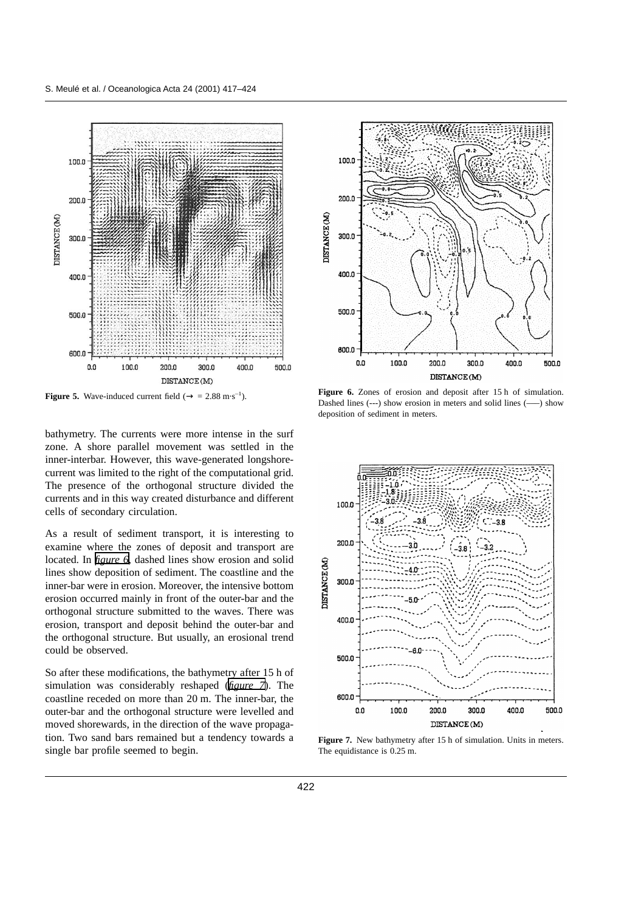<span id="page-5-0"></span>

**Figure 5.** Wave-induced current field ( $\rightarrow$  = 2.88 m·s<sup>-1</sup>).

bathymetry. The currents were more intense in the surf zone. A shore parallel movement was settled in the inner-interbar. However, this wave-generated longshorecurrent was limited to the right of the computational grid. The presence of the orthogonal structure divided the currents and in this way created disturbance and different cells of secondary circulation.

As a result of sediment transport, it is interesting to examine where the zones of deposit and transport are located. In *figure 6*, dashed lines show erosion and solid lines show deposition of sediment. The coastline and the inner-bar were in erosion. Moreover, the intensive bottom erosion occurred mainly in front of the outer-bar and the orthogonal structure submitted to the waves. There was erosion, transport and deposit behind the outer-bar and the orthogonal structure. But usually, an erosional trend could be observed.

So after these modifications, the bathymetry after 15 h of simulation was considerably reshaped (*figure 7*). The coastline receded on more than 20 m. The inner-bar, the outer-bar and the orthogonal structure were levelled and moved shorewards, in the direction of the wave propagation. Two sand bars remained but a tendency towards a single bar profile seemed to begin.



). **Figure 6.** Zones of erosion and deposit after 15 h of simulation. Dashed lines (---) show erosion in meters and solid lines (---) show deposition of sediment in meters.



Figure 7. New bathymetry after 15 h of simulation. Units in meters. The equidistance is 0.25 m.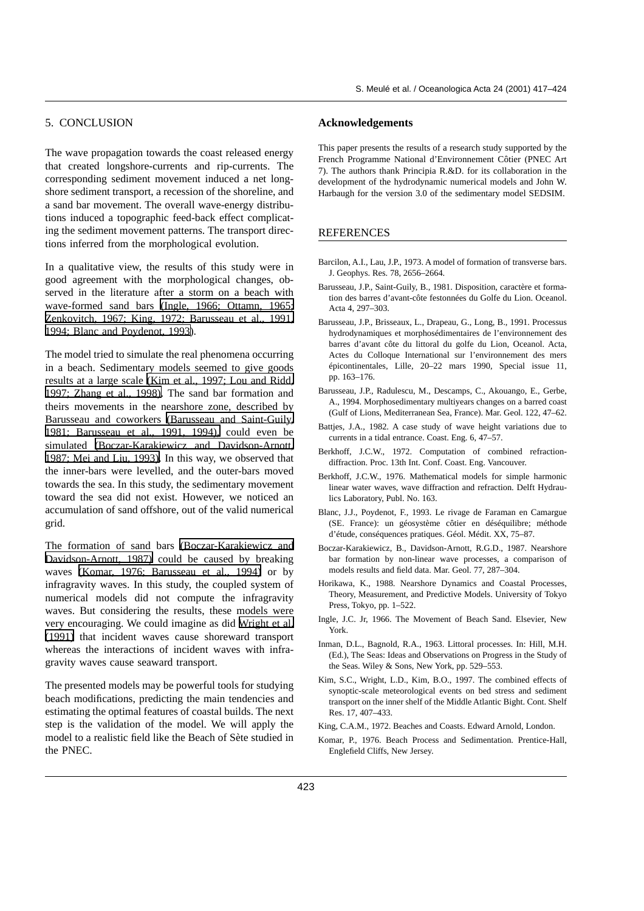# <span id="page-6-0"></span>5. CONCLUSION

The wave propagation towards the coast released energy that created longshore-currents and rip-currents. The corresponding sediment movement induced a net longshore sediment transport, a recession of the shoreline, and a sand bar movement. The overall wave-energy distributions induced a topographic feed-back effect complicating the sediment movement patterns. The transport directions inferred from the morphological evolution.

In a qualitative view, the results of this study were in good agreement with the morphological changes, observed in the literature after a storm on a beach with wave-formed sand bars (Ingle, 1966; Ottamn, 1965; Zenkovitch, 1967; King, 1972; Barusseau et al., 1991, 1994; Blanc and Poydenot, 1993).

The model tried to simulate the real phenomena occurring in a beach. Sedimentary models seemed to give goods results at a large scale (Kim et al., 1997; Lou and Ridd, 1997; Zhang et al., 1998). The sand bar formation and theirs movements in the nearshore zone, described by Barusseau and coworkers (Barusseau and Saint-Guily, 1981; Barusseau et al., 1991, 1994), could even be simulated (Boczar-Karakiewicz and Davidson-Arnott, 1987; Mei and Liu, 1993). In this way, we observed that the inner-bars were levelled, and the outer-bars moved towards the sea. In this study, the sedimentary movement toward the sea did not exist. However, we noticed an accumulation of sand offshore, out of the valid numerical grid.

The formation of sand bars (Boczar-Karakiewicz and Davidson-Arnott, 1987) could be caused by breaking waves (Komar, 1976; Barusseau et al., 1994) or by infragravity waves. In this study, the coupled system of numerical models did not compute the infragravity waves. But considering the results, these models were very encouraging. We could imagine as did [Wright et al.](#page-7-0) [\(1991\)](#page-7-0) that incident waves cause shoreward transport whereas the interactions of incident waves with infragravity waves cause seaward transport.

The presented models may be powerful tools for studying beach modifications, predicting the main tendencies and estimating the optimal features of coastal builds. The next step is the validation of the model. We will apply the model to a realistic field like the Beach of Sète studied in the PNEC.

## **Acknowledgements**

This paper presents the results of a research study supported by the French Programme National d'Environnement Côtier (PNEC Art 7). The authors thank Principia R.&D. for its collaboration in the development of the hydrodynamic numerical models and John W. Harbaugh for the version 3.0 of the sedimentary model SEDSIM.

# REFERENCES

- Barcilon, A.I., Lau, J.P., 1973. A model of formation of transverse bars. J. Geophys. Res. 78, 2656–2664.
- Barusseau, J.P., Saint-Guily, B., 1981. Disposition, caractère et formation des barres d'avant-côte festonnées du Golfe du Lion. Oceanol. Acta 4, 297–303.
- Barusseau, J.P., Brisseaux, L., Drapeau, G., Long, B., 1991. Processus hydrodynamiques et morphosédimentaires de l'environnement des barres d'avant côte du littoral du golfe du Lion, Oceanol. Acta, Actes du Colloque International sur l'environnement des mers épicontinentales, Lille, 20–22 mars 1990, Special issue 11, pp. 163–176.
- Barusseau, J.P., Radulescu, M., Descamps, C., Akouango, E., Gerbe, A., 1994. Morphosedimentary multiyears changes on a barred coast (Gulf of Lions, Mediterranean Sea, France). Mar. Geol. 122, 47–62.
- Battjes, J.A., 1982. A case study of wave height variations due to currents in a tidal entrance. Coast. Eng. 6, 47–57.
- Berkhoff, J.C.W., 1972. Computation of combined refractiondiffraction. Proc. 13th Int. Conf. Coast. Eng. Vancouver.
- Berkhoff, J.C.W., 1976. Mathematical models for simple harmonic linear water waves, wave diffraction and refraction. Delft Hydraulics Laboratory, Publ. No. 163.
- Blanc, J.J., Poydenot, F., 1993. Le rivage de Faraman en Camargue (SE. France): un géosystème côtier en déséquilibre; méthode d'étude, conséquences pratiques. Géol. Médit. XX, 75–87.
- Boczar-Karakiewicz, B., Davidson-Arnott, R.G.D., 1987. Nearshore bar formation by non-linear wave processes, a comparison of models results and field data. Mar. Geol. 77, 287–304.
- Horikawa, K., 1988. Nearshore Dynamics and Coastal Processes, Theory, Measurement, and Predictive Models. University of Tokyo Press, Tokyo, pp. 1–522.
- Ingle, J.C. Jr, 1966. The Movement of Beach Sand. Elsevier, New York.
- Inman, D.L., Bagnold, R.A., 1963. Littoral processes. In: Hill, M.H. (Ed.), The Seas: Ideas and Observations on Progress in the Study of the Seas. Wiley & Sons, New York, pp. 529–553.
- Kim, S.C., Wright, L.D., Kim, B.O., 1997. The combined effects of synoptic-scale meteorological events on bed stress and sediment transport on the inner shelf of the Middle Atlantic Bight. Cont. Shelf Res. 17, 407–433.
- King, C.A.M., 1972. Beaches and Coasts. Edward Arnold, London.
- Komar, P., 1976. Beach Process and Sedimentation. Prentice-Hall, Englefield Cliffs, New Jersey.